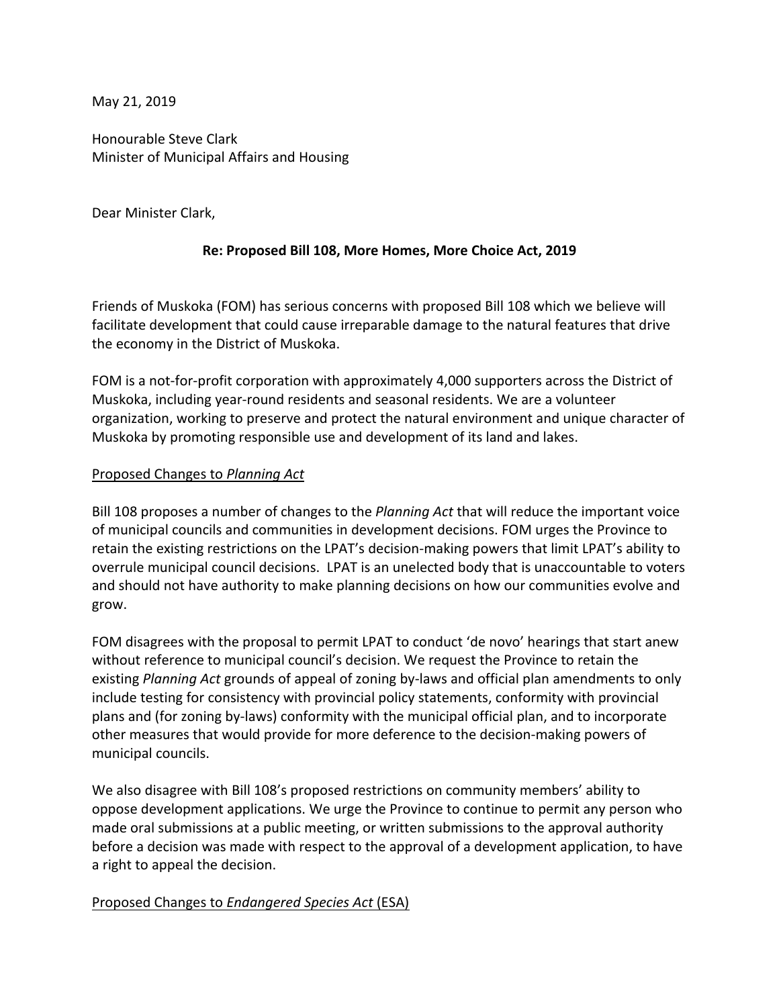May 21, 2019

Honourable Steve Clark Minister of Municipal Affairs and Housing

Dear Minister Clark,

# **Re: Proposed Bill 108, More Homes, More Choice Act, 2019**

Friends of Muskoka (FOM) has serious concerns with proposed Bill 108 which we believe will facilitate development that could cause irreparable damage to the natural features that drive the economy in the District of Muskoka.

FOM is a not-for-profit corporation with approximately 4,000 supporters across the District of Muskoka, including year-round residents and seasonal residents. We are a volunteer organization, working to preserve and protect the natural environment and unique character of Muskoka by promoting responsible use and development of its land and lakes.

## Proposed Changes to *Planning Act*

Bill 108 proposes a number of changes to the *Planning Act* that will reduce the important voice of municipal councils and communities in development decisions. FOM urges the Province to retain the existing restrictions on the LPAT's decision-making powers that limit LPAT's ability to overrule municipal council decisions. LPAT is an unelected body that is unaccountable to voters and should not have authority to make planning decisions on how our communities evolve and grow.

FOM disagrees with the proposal to permit LPAT to conduct 'de novo' hearings that start anew without reference to municipal council's decision. We request the Province to retain the existing *Planning Act* grounds of appeal of zoning by-laws and official plan amendments to only include testing for consistency with provincial policy statements, conformity with provincial plans and (for zoning by-laws) conformity with the municipal official plan, and to incorporate other measures that would provide for more deference to the decision-making powers of municipal councils.

We also disagree with Bill 108's proposed restrictions on community members' ability to oppose development applications. We urge the Province to continue to permit any person who made oral submissions at a public meeting, or written submissions to the approval authority before a decision was made with respect to the approval of a development application, to have a right to appeal the decision.

## Proposed Changes to *Endangered Species Act* (ESA)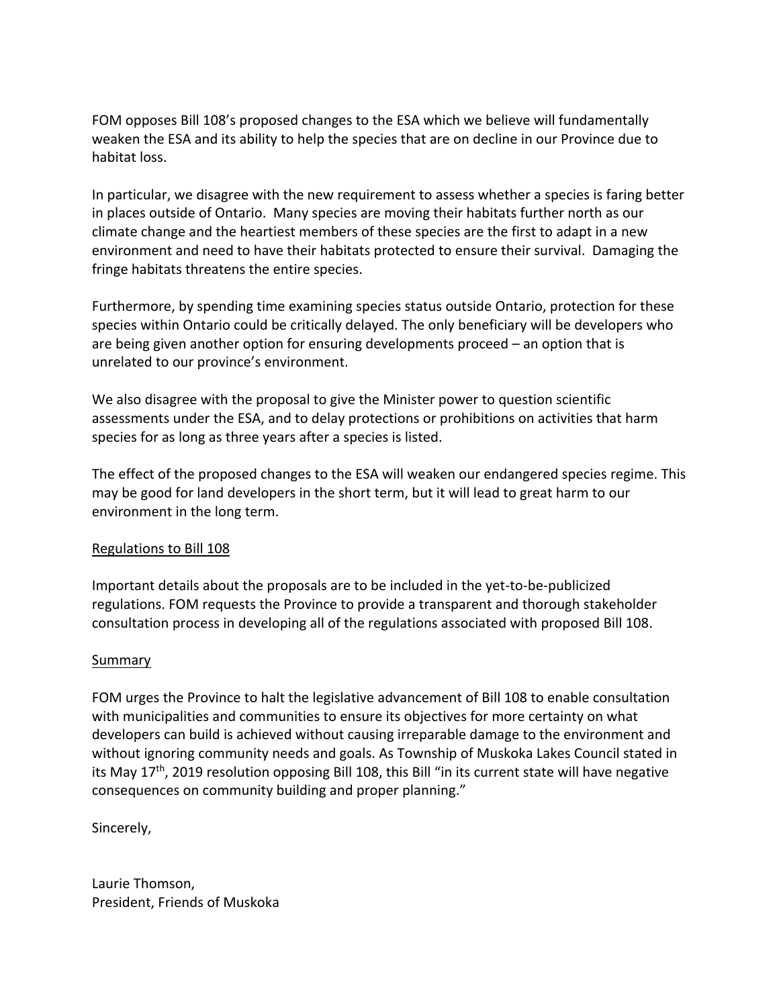FOM opposes Bill 108's proposed changes to the ESA which we believe will fundamentally weaken the ESA and its ability to help the species that are on decline in our Province due to habitat loss.

In particular, we disagree with the new requirement to assess whether a species is faring better in places outside of Ontario. Many species are moving their habitats further north as our climate change and the heartiest members of these species are the first to adapt in a new environment and need to have their habitats protected to ensure their survival. Damaging the fringe habitats threatens the entire species.

Furthermore, by spending time examining species status outside Ontario, protection for these species within Ontario could be critically delayed. The only beneficiary will be developers who are being given another option for ensuring developments proceed – an option that is unrelated to our province's environment.

We also disagree with the proposal to give the Minister power to question scientific assessments under the ESA, and to delay protections or prohibitions on activities that harm species for as long as three years after a species is listed.

The effect of the proposed changes to the ESA will weaken our endangered species regime. This may be good for land developers in the short term, but it will lead to great harm to our environment in the long term.

# Regulations to Bill 108

Important details about the proposals are to be included in the yet-to-be-publicized regulations. FOM requests the Province to provide a transparent and thorough stakeholder consultation process in developing all of the regulations associated with proposed Bill 108.

# Summary

FOM urges the Province to halt the legislative advancement of Bill 108 to enable consultation with municipalities and communities to ensure its objectives for more certainty on what developers can build is achieved without causing irreparable damage to the environment and without ignoring community needs and goals. As Township of Muskoka Lakes Council stated in its May 17<sup>th</sup>, 2019 resolution opposing Bill 108, this Bill "in its current state will have negative consequences on community building and proper planning."

Sincerely,

Laurie Thomson, President, Friends of Muskoka